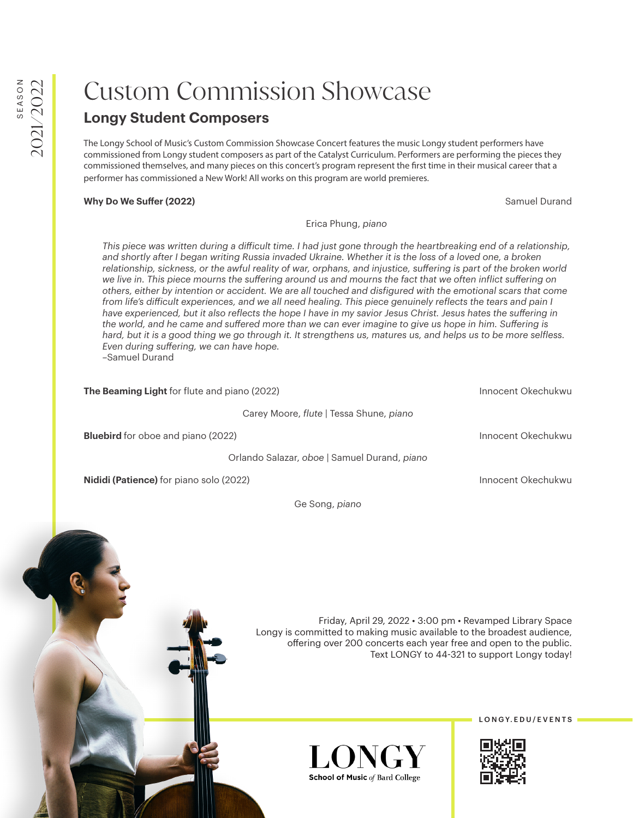## Custom Commission Showcase

## **Longy Student Composers**

The Longy School of Music's Custom Commission Showcase Concert features the music Longy student performers have commissioned from Longy student composers as part of the Catalyst Curriculum. Performers are performing the pieces they commissioned themselves, and many pieces on this concert's program represent the first time in their musical career that a performer has commissioned a New Work! All works on this program are world premieres.

## **Why Do We Suffer (2022) Samuel Durand Contract Contract Contract Contract Contract Contract Contract Contract Contract Contract Contract Contract Contract Contract Contract Contract Contract Contract Contract Contract**

## Erica Phung, *piano*

*This piece was written during a difficult time. I had just gone through the heartbreaking end of a relationship, and shortly after I began writing Russia invaded Ukraine. Whether it is the loss of a loved one, a broken relationship, sickness, or the awful reality of war, orphans, and injustice, suffering is part of the broken world we live in. This piece mourns the suffering around us and mourns the fact that we often inflict suffering on others, either by intention or accident. We are all touched and disfigured with the emotional scars that come from life's difficult experiences, and we all need healing. This piece genuinely reflects the tears and pain I have experienced, but it also reflects the hope I have in my savior Jesus Christ. Jesus hates the suffering in the world, and he came and suffered more than we can ever imagine to give us hope in him. Suffering is hard, but it is a good thing we go through it. It strengthens us, matures us, and helps us to be more selfless. Even during suffering, we can have hope.*  –Samuel Durand

**The Beaming Light** for flute and piano (2022) **Innocent Okechukwu** Innocent Okechukwu

Carey Moore, *flute |* Tessa Shune, *piano*

**Bluebird** for oboe and piano (2022) **Innocent Okechukwu Innocent Okechukwu** 

Orlando Salazar, *oboe |* Samuel Durand, *piano*

**Nididi (Patience)** for piano solo (2022) **Innocent Okechukwu** Innocent Okechukwu

Ge Song, *piano*

Friday, April 29, 2022 • 3:00 pm • Revamped Library Space Longy is committed to making music available to the broadest audience, offering over 200 concerts each year free and open to the public. Text LONGY to 44-321 to support Longy today!



LONGY. EDU/EVENTS